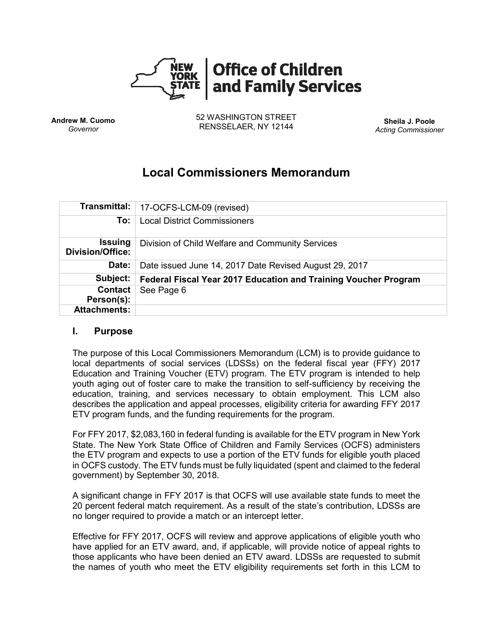

**Andrew M. Cuomo** *Governor*

52 WASHINGTON STREET RENSSELAER, NY 12144 **Sheila J. Poole**

*Acting Commissioner*

# **Local Commissioners Memorandum**

|                                           | Transmittal:   17-OCFS-LCM-09 (revised)                         |
|-------------------------------------------|-----------------------------------------------------------------|
| To:                                       | <b>Local District Commissioners</b>                             |
| <b>Issuing</b><br><b>Division/Office:</b> | Division of Child Welfare and Community Services                |
| Date:                                     | Date issued June 14, 2017 Date Revised August 29, 2017          |
| Subject:                                  | Federal Fiscal Year 2017 Education and Training Voucher Program |
| <b>Contact</b><br>Person(s):              | See Page 6                                                      |
| <b>Attachments:</b>                       |                                                                 |

#### **I. Purpose**

The purpose of this Local Commissioners Memorandum (LCM) is to provide guidance to local departments of social services (LDSSs) on the federal fiscal year (FFY) 2017 Education and Training Voucher (ETV) program. The ETV program is intended to help youth aging out of foster care to make the transition to self-sufficiency by receiving the education, training, and services necessary to obtain employment. This LCM also describes the application and appeal processes, eligibility criteria for awarding FFY 2017 ETV program funds, and the funding requirements for the program.

For FFY 2017, \$2,083,160 in federal funding is available for the ETV program in New York State. The New York State Office of Children and Family Services (OCFS) administers the ETV program and expects to use a portion of the ETV funds for eligible youth placed in OCFS custody. The ETV funds must be fully liquidated (spent and claimed to the federal government) by September 30, 2018.

A significant change in FFY 2017 is that OCFS will use available state funds to meet the 20 percent federal match requirement. As a result of the state's contribution, LDSSs are no longer required to provide a match or an intercept letter.

Effective for FFY 2017, OCFS will review and approve applications of eligible youth who have applied for an ETV award, and, if applicable, will provide notice of appeal rights to those applicants who have been denied an ETV award. LDSSs are requested to submit the names of youth who meet the ETV eligibility requirements set forth in this LCM to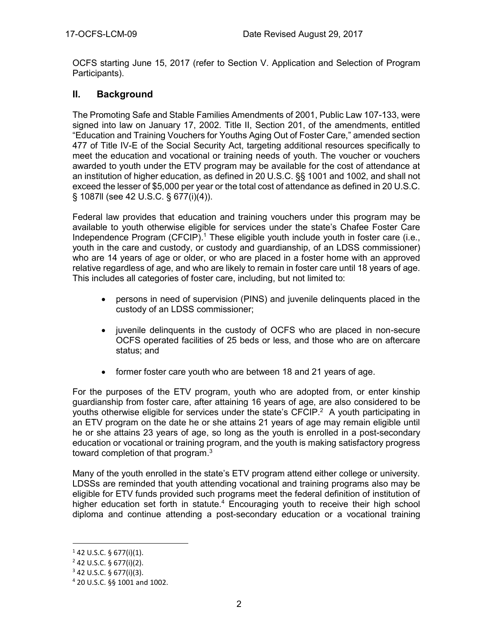OCFS starting June 15, 2017 (refer to Section V. Application and Selection of Program Participants).

## **II. Background**

The Promoting Safe and Stable Families Amendments of 2001, Public Law 107-133, were signed into law on January 17, 2002. Title II, Section 201, of the amendments, entitled "Education and Training Vouchers for Youths Aging Out of Foster Care," amended section 477 of Title IV-E of the Social Security Act, targeting additional resources specifically to meet the education and vocational or training needs of youth. The voucher or vouchers awarded to youth under the ETV program may be available for the cost of attendance at an institution of higher education, as defined in 20 U.S.C. §§ 1001 and 1002, and shall not exceed the lesser of \$5,000 per year or the total cost of attendance as defined in 20 U.S.C. § 1087ll (see 42 U.S.C. § 677(i)(4)).

Federal law provides that education and training vouchers under this program may be available to youth otherwise eligible for services under the state's Chafee Foster Care Independence Program (CFCIP).<sup>1</sup> These eligible youth include youth in foster care (i.e., youth in the care and custody, or custody and guardianship, of an LDSS commissioner) who are 14 years of age or older, or who are placed in a foster home with an approved relative regardless of age, and who are likely to remain in foster care until 18 years of age. This includes all categories of foster care, including, but not limited to:

- persons in need of supervision (PINS) and juvenile delinquents placed in the custody of an LDSS commissioner;
- juvenile delinquents in the custody of OCFS who are placed in non-secure OCFS operated facilities of 25 beds or less, and those who are on aftercare status; and
- former foster care youth who are between 18 and 21 years of age.

For the purposes of the ETV program, youth who are adopted from, or enter kinship guardianship from foster care, after attaining 16 years of age, are also considered to be youths otherwise eligible for services under the state's CFCIP.<sup>2</sup> A youth participating in an ETV program on the date he or she attains 21 years of age may remain eligible until he or she attains 23 years of age, so long as the youth is enrolled in a post-secondary education or vocational or training program, and the youth is making satisfactory progress toward completion of that program.<sup>3</sup>

Many of the youth enrolled in the state's ETV program attend either college or university. LDSSs are reminded that youth attending vocational and training programs also may be eligible for ETV funds provided such programs meet the federal definition of institution of higher education set forth in statute.<sup>4</sup> Encouraging youth to receive their high school diploma and continue attending a post-secondary education or a vocational training

l

 $1$  42 U.S.C. § 677(i)(1).

 $2$  42 U.S.C. § 677(i)(2).

 $3$  42 U.S.C. § 677(i)(3).

<sup>4</sup> 20 U.S.C. §§ 1001 and 1002.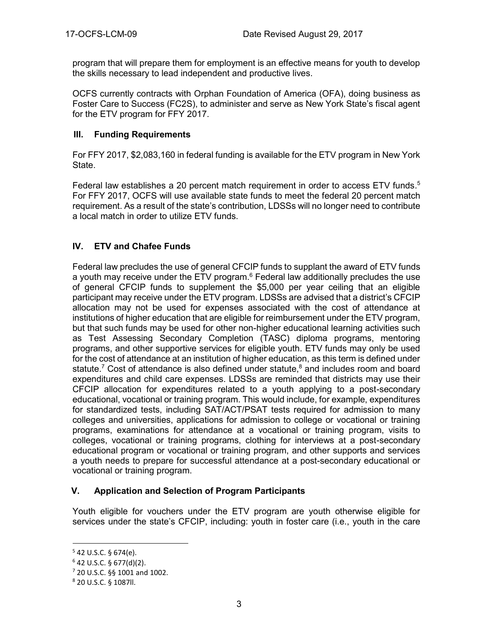program that will prepare them for employment is an effective means for youth to develop the skills necessary to lead independent and productive lives.

OCFS currently contracts with Orphan Foundation of America (OFA), doing business as Foster Care to Success (FC2S), to administer and serve as New York State's fiscal agent for the ETV program for FFY 2017.

#### **III. Funding Requirements**

For FFY 2017, \$2,083,160 in federal funding is available for the ETV program in New York State.

Federal law establishes a 20 percent match requirement in order to access ETV funds.<sup>5</sup> For FFY 2017, OCFS will use available state funds to meet the federal 20 percent match requirement. As a result of the state's contribution, LDSSs will no longer need to contribute a local match in order to utilize ETV funds.

## **IV. ETV and Chafee Funds**

Federal law precludes the use of general CFCIP funds to supplant the award of ETV funds a youth may receive under the ETV program.<sup>6</sup> Federal law additionally precludes the use of general CFCIP funds to supplement the \$5,000 per year ceiling that an eligible participant may receive under the ETV program. LDSSs are advised that a district's CFCIP allocation may not be used for expenses associated with the cost of attendance at institutions of higher education that are eligible for reimbursement under the ETV program, but that such funds may be used for other non-higher educational learning activities such as Test Assessing Secondary Completion (TASC) diploma programs, mentoring programs, and other supportive services for eligible youth. ETV funds may only be used for the cost of attendance at an institution of higher education, as this term is defined under statute.<sup>7</sup> Cost of attendance is also defined under statute,<sup>8</sup> and includes room and board expenditures and child care expenses. LDSSs are reminded that districts may use their CFCIP allocation for expenditures related to a youth applying to a post-secondary educational, vocational or training program. This would include, for example, expenditures for standardized tests, including SAT/ACT/PSAT tests required for admission to many colleges and universities, applications for admission to college or vocational or training programs, examinations for attendance at a vocational or training program, visits to colleges, vocational or training programs, clothing for interviews at a post-secondary educational program or vocational or training program, and other supports and services a youth needs to prepare for successful attendance at a post-secondary educational or vocational or training program.

## **V. Application and Selection of Program Participants**

Youth eligible for vouchers under the ETV program are youth otherwise eligible for services under the state's CFCIP, including: youth in foster care (i.e., youth in the care

l

 $542$  U.S.C. § 674(e).

 $6$  42 U.S.C. § 677(d)(2).

<sup>7</sup> 20 U.S.C. §§ 1001 and 1002.

<sup>8</sup> 20 U.S.C. § 1087ll.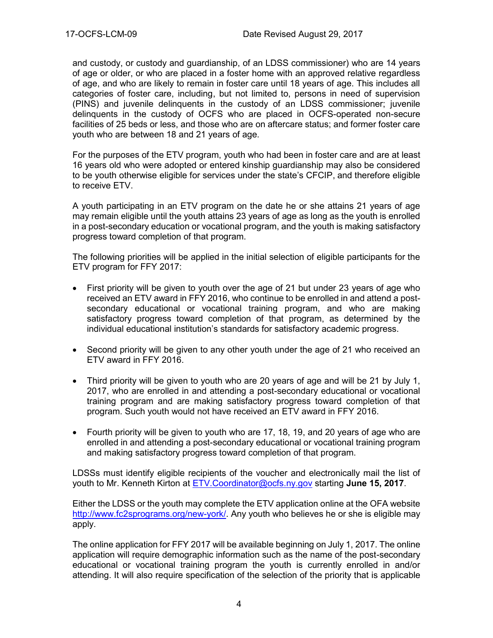and custody, or custody and guardianship, of an LDSS commissioner) who are 14 years of age or older, or who are placed in a foster home with an approved relative regardless of age, and who are likely to remain in foster care until 18 years of age. This includes all categories of foster care, including, but not limited to, persons in need of supervision (PINS) and juvenile delinquents in the custody of an LDSS commissioner; juvenile delinquents in the custody of OCFS who are placed in OCFS-operated non-secure facilities of 25 beds or less, and those who are on aftercare status; and former foster care youth who are between 18 and 21 years of age.

For the purposes of the ETV program, youth who had been in foster care and are at least 16 years old who were adopted or entered kinship guardianship may also be considered to be youth otherwise eligible for services under the state's CFCIP, and therefore eligible to receive ETV.

A youth participating in an ETV program on the date he or she attains 21 years of age may remain eligible until the youth attains 23 years of age as long as the youth is enrolled in a post-secondary education or vocational program, and the youth is making satisfactory progress toward completion of that program.

The following priorities will be applied in the initial selection of eligible participants for the ETV program for FFY 2017:

- First priority will be given to youth over the age of 21 but under 23 years of age who received an ETV award in FFY 2016, who continue to be enrolled in and attend a postsecondary educational or vocational training program, and who are making satisfactory progress toward completion of that program, as determined by the individual educational institution's standards for satisfactory academic progress.
- Second priority will be given to any other youth under the age of 21 who received an ETV award in FFY 2016.
- Third priority will be given to youth who are 20 years of age and will be 21 by July 1, 2017, who are enrolled in and attending a post-secondary educational or vocational training program and are making satisfactory progress toward completion of that program. Such youth would not have received an ETV award in FFY 2016.
- Fourth priority will be given to youth who are 17, 18, 19, and 20 years of age who are enrolled in and attending a post-secondary educational or vocational training program and making satisfactory progress toward completion of that program.

LDSSs must identify eligible recipients of the voucher and electronically mail the list of youth to Mr. Kenneth Kirton at [ETV.Coordinator@ocfs.ny.gov](mailto:ETV.Coordinator@ocfs.ny.gov) starting **June 15, 2017**.

Either the LDSS or the youth may complete the ETV application online at the OFA website [http://www.fc2sprograms.org/new-york/.](http://www.fc2sprograms.org/new-york/) Any youth who believes he or she is eligible may apply.

The online application for FFY 2017 will be available beginning on July 1, 2017. The online application will require demographic information such as the name of the post-secondary educational or vocational training program the youth is currently enrolled in and/or attending. It will also require specification of the selection of the priority that is applicable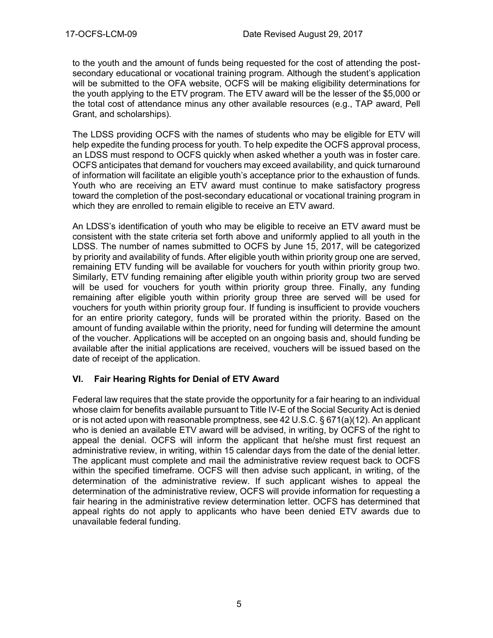to the youth and the amount of funds being requested for the cost of attending the postsecondary educational or vocational training program. Although the student's application will be submitted to the OFA website, OCFS will be making eligibility determinations for the youth applying to the ETV program. The ETV award will be the lesser of the \$5,000 or the total cost of attendance minus any other available resources (e.g., TAP award, Pell Grant, and scholarships).

The LDSS providing OCFS with the names of students who may be eligible for ETV will help expedite the funding process for youth. To help expedite the OCFS approval process, an LDSS must respond to OCFS quickly when asked whether a youth was in foster care. OCFS anticipates that demand for vouchers may exceed availability, and quick turnaround of information will facilitate an eligible youth's acceptance prior to the exhaustion of funds. Youth who are receiving an ETV award must continue to make satisfactory progress toward the completion of the post-secondary educational or vocational training program in which they are enrolled to remain eligible to receive an ETV award.

An LDSS's identification of youth who may be eligible to receive an ETV award must be consistent with the state criteria set forth above and uniformly applied to all youth in the LDSS. The number of names submitted to OCFS by June 15, 2017, will be categorized by priority and availability of funds. After eligible youth within priority group one are served, remaining ETV funding will be available for vouchers for youth within priority group two. Similarly, ETV funding remaining after eligible youth within priority group two are served will be used for vouchers for youth within priority group three. Finally, any funding remaining after eligible youth within priority group three are served will be used for vouchers for youth within priority group four. If funding is insufficient to provide vouchers for an entire priority category, funds will be prorated within the priority. Based on the amount of funding available within the priority, need for funding will determine the amount of the voucher. Applications will be accepted on an ongoing basis and, should funding be available after the initial applications are received, vouchers will be issued based on the date of receipt of the application.

## **VI. Fair Hearing Rights for Denial of ETV Award**

Federal law requires that the state provide the opportunity for a fair hearing to an individual whose claim for benefits available pursuant to Title IV-E of the Social Security Act is denied or is not acted upon with reasonable promptness, see 42 U.S.C. § 671(a)(12). An applicant who is denied an available ETV award will be advised, in writing, by OCFS of the right to appeal the denial. OCFS will inform the applicant that he/she must first request an administrative review, in writing, within 15 calendar days from the date of the denial letter. The applicant must complete and mail the administrative review request back to OCFS within the specified timeframe. OCFS will then advise such applicant, in writing, of the determination of the administrative review. If such applicant wishes to appeal the determination of the administrative review, OCFS will provide information for requesting a fair hearing in the administrative review determination letter. OCFS has determined that appeal rights do not apply to applicants who have been denied ETV awards due to unavailable federal funding.